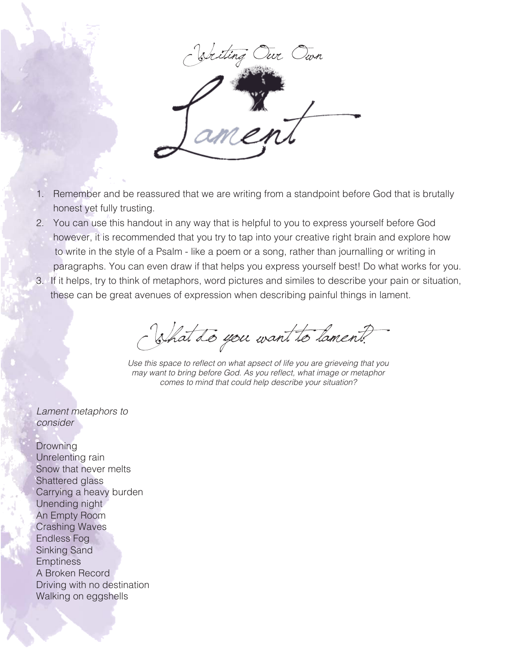

- 1. Remember and be reassured that we are writing from a standpoint before God that is brutally honest yet fully trusting.
- 2. You can use this handout in any way that is helpful to you to express yourself before God however, it is recommended that you try to tap into your creative right brain and explore how to write in the style of a Psalm - like a poem or a song, rather than journalling or writing in paragraphs. You can even draw if that helps you express yourself best! Do what works for you.
- 3. If it helps, try to think of metaphors, word pictures and similes to describe your pain or situation, these can be great avenues of expression when describing painful things in lament.

What do you want to lament?

Use this space to reflect on what apsect of life you are grieveing that you may want to bring before God. As you reflect, what image or metaphor comes to mind that could help describe your situation?

Lament metaphors to consider

Drowning Unrelenting rain Snow that never melts Shattered glass Carrying a heavy burden Unending night An Empty Room Crashing Waves Endless Fog Sinking Sand **Emptiness** A Broken Record Driving with no destination Walking on eggshells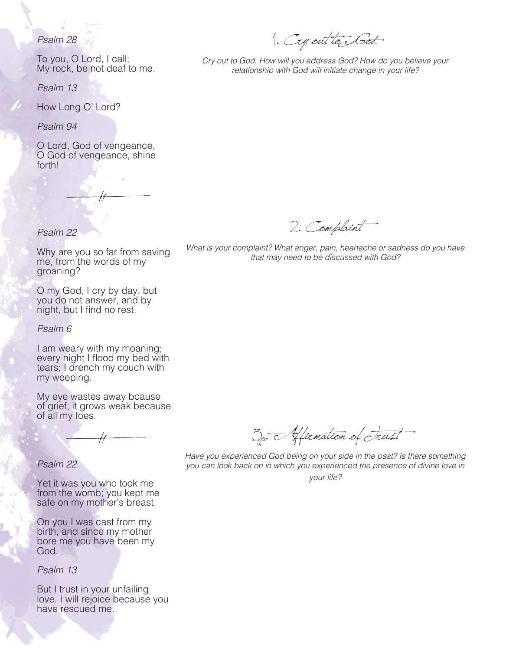## Psalm 28

To you, O Lord, I call; My rock, be not deaf to me.

Psalm 13

How Long O' Lord?

Psalm 94

O Lord, God of vengeance, O God of vengeance, shine forth!

# Psalm 22

Why are you so far from saving me, from the words of my groaning?

O my God, I cry by day, but you do not answer, and by night, but I find no rest.

Psalm 6

I am weary with my moaning; every night I flood my bed with tears; I drench my couch with my weeping.

My eye wastes away bcause of grief; it grows weak because of all my foes.

## Psalm 22

Yet it was you who took me from the womb; you kept me safe on my mother's breast.

On you I was cast from my birth, and since my mother bore me you have been my God.

Psalm 13

But I trust in your unfailing love. I will rejoice because you have rescued me.

1. Cry out to God

Cry out to God. How will you address God? How do you believe your relationship with God will initiate change in your life?

2. Complaint

What is your complaint? What anger, pain, heartache or sadness do you have that may need to be discussed with God?

3. Affrmation of Trust

Have you experienced God being on your side in the past? Is there something you can look back on in which you experienced the presence of divine love in your life?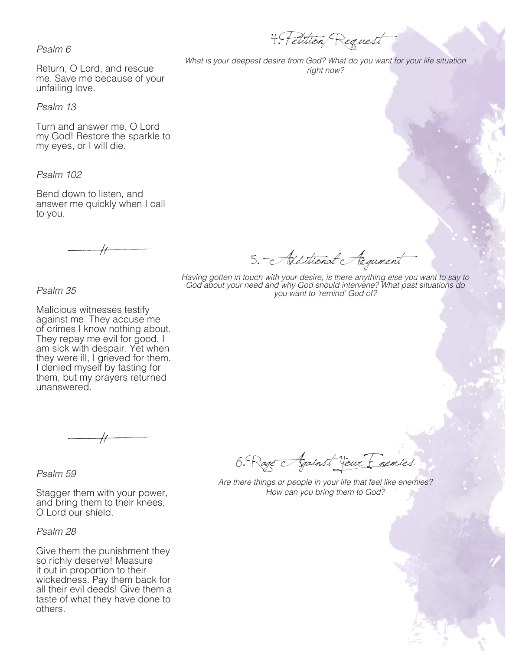Psalm 6

Return, O Lord, and rescue me. Save me because of your unfailing love.

Psalm 13

Turn and answer me, O Lord my God! Restore the sparkle to my eyes, or I will die.

Psalm 102

Bend down to listen, and answer me quickly when I call to you.

4. Petition/ Request

What is your deepest desire from God? What do you want for your life situation right now?

5. Additional Argument Having gotten in touch with your desire, is there anything else you want to say to

God about your need and why God should intervene? What past situations do you want to 'remind' God of?

Psalm 35

Malicious witnesses testify against me. They accuse me of crimes I know nothing about. They repay me evil for good. I am sick with despair. Yet when they were ill, I grieved for them. I denied myself by fasting for them, but my prayers returned unanswered.

Psalm 59

Stagger them with your power, and bring them to their knees, O Lord our shield.

#### Psalm 28

Give them the punishment they so richly deserve! Measure it out in proportion to their wickedness. Pay them back for all their evil deeds! Give them a taste of what they have done to others.

6. Rage Against Your Enemies

Are there things or people in your life that feel like enemies? How can you bring them to God?